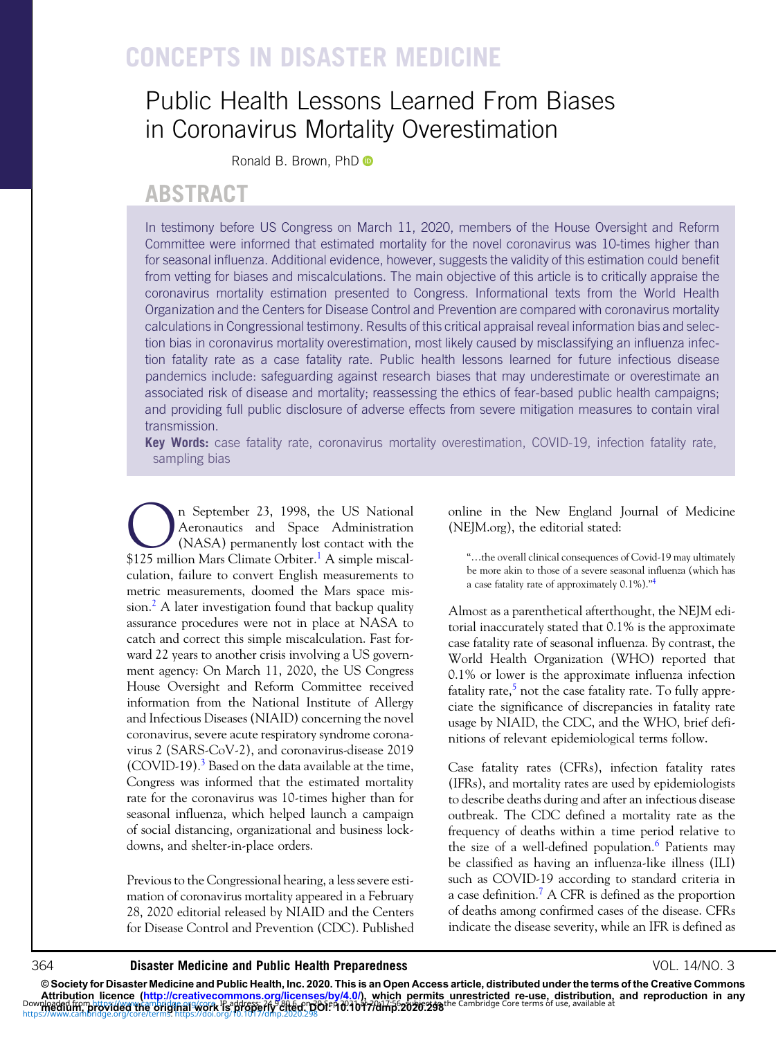# CONCEPTS IN DISASTER MEDICINE

# Public Health Lessons Learned From Biases in Coronavirus Mortality Overestimation

Ronald B. Brown, PhD <sup>O</sup>

## ABSTRACT

In testimony before US Congress on March 11, 2020, members of the House Oversight and Reform Committee were informed that estimated mortality for the novel coronavirus was 10-times higher than for seasonal influenza. Additional evidence, however, suggests the validity of this estimation could benefit from vetting for biases and miscalculations. The main objective of this article is to critically appraise the coronavirus mortality estimation presented to Congress. Informational texts from the World Health Organization and the Centers for Disease Control and Prevention are compared with coronavirus mortality calculations in Congressional testimony. Results of this critical appraisal reveal information bias and selection bias in coronavirus mortality overestimation, most likely caused by misclassifying an influenza infection fatality rate as a case fatality rate. Public health lessons learned for future infectious disease pandemics include: safeguarding against research biases that may underestimate or overestimate an associated risk of disease and mortality; reassessing the ethics of fear-based public health campaigns; and providing full public disclosure of adverse effects from severe mitigation measures to contain viral transmission.

Key Words: case fatality rate, coronavirus mortality overestimation, COVID-19, infection fatality rate, sampling bias

 $\sum_{\text{Aeronautics and Space Administration}}$  Aeronautics and Space Administration<br>(NASA) permanently lost contact with the<br>\$125 million Mars Climate Orbiter  $\frac{1}{4}$  A simple miscal. Aeronautics and Space Administration (NASA) permanently lost contact with the \$125 million Mars Climate Orbiter.<sup>1</sup> A simple miscalculation, failure to convert English measurements to metric measurements, doomed the Mars space mission.<sup>2</sup> A later investigation found that backup quality assurance procedures were not in place at NASA to catch and correct this simple miscalculation. Fast forward 22 years to another crisis involving a US government agency: On March 11, 2020, the US Congress House Oversight and Reform Committee received information from the National Institute of Allergy and Infectious Diseases (NIAID) concerning the novel coronavirus, severe acute respiratory syndrome coronavirus 2 (SARS-CoV-2), and coronavirus-disease 2019  $(COVID-19)<sup>3</sup>$  $(COVID-19)<sup>3</sup>$  $(COVID-19)<sup>3</sup>$  Based on the data available at the time, Congress was informed that the estimated mortality rate for the coronavirus was 10-times higher than for seasonal influenza, which helped launch a campaign of social distancing, organizational and business lockdowns, and shelter-in-place orders.

Previous to the Congressional hearing, a less severe estimation of coronavirus mortality appeared in a February 28, 2020 editorial released by NIAID and the Centers for Disease Control and Prevention (CDC). Published

online in the New England Journal of Medicine (NEJM.org), the editorial stated:

"…the overall clinical consequences of Covid-19 may ultimately be more akin to those of a severe seasonal influenza (which has a case fatality rate of approximately 0.1%)."[4](#page-5-0)

Almost as a parenthetical afterthought, the NEJM editorial inaccurately stated that 0.1% is the approximate case fatality rate of seasonal influenza. By contrast, the World Health Organization (WHO) reported that 0.1% or lower is the approximate influenza infection fatality rate, $5$  not the case fatality rate. To fully appreciate the significance of discrepancies in fatality rate usage by NIAID, the CDC, and the WHO, brief definitions of relevant epidemiological terms follow.

Case fatality rates (CFRs), infection fatality rates (IFRs), and mortality rates are used by epidemiologists to describe deaths during and after an infectious disease outbreak. The CDC defined a mortality rate as the frequency of deaths within a time period relative to the size of a well-defined population.<sup>[6](#page-5-0)</sup> Patients may be classified as having an influenza-like illness (ILI) such as COVID-19 according to standard criteria in a case definition.<sup>7</sup> A CFR is defined as the proportion of deaths among confirmed cases of the disease. CFRs indicate the disease severity, while an IFR is defined as

## 364 **Disaster Medicine and Public Health Preparedness State Contract Automobile State Contract Preparedness** VOL. 14/NO. 3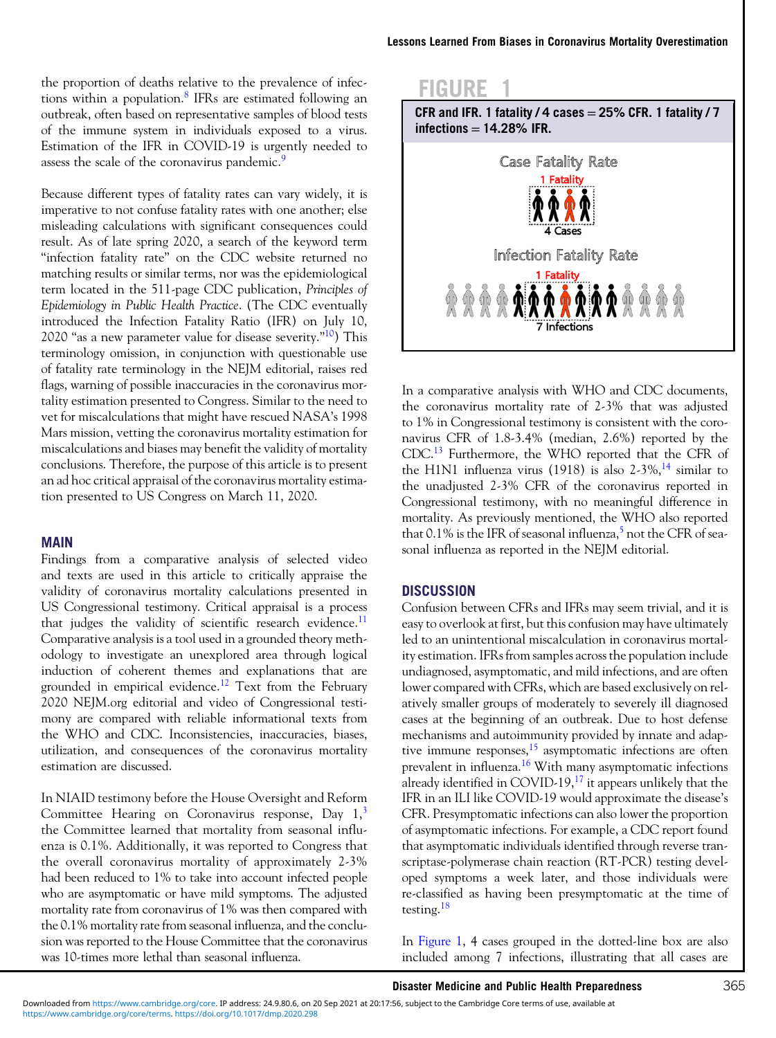the proportion of deaths relative to the prevalence of infections within a population. $8$  IFRs are estimated following an outbreak, often based on representative samples of blood tests of the immune system in individuals exposed to a virus. Estimation of the IFR in COVID-19 is urgently needed to assess the scale of the coronavirus pandemic.<sup>[9](#page-5-0)</sup>

Because different types of fatality rates can vary widely, it is imperative to not confuse fatality rates with one another; else misleading calculations with significant consequences could result. As of late spring 2020, a search of the keyword term "infection fatality rate" on the CDC website returned no matching results or similar terms, nor was the epidemiological term located in the 511-page CDC publication, Principles of Epidemiology in Public Health Practice. (The CDC eventually introduced the Infection Fatality Ratio (IFR) on July 10, 2020 "as a new parameter value for disease severity."<sup>10</sup>) This terminology omission, in conjunction with questionable use of fatality rate terminology in the NEJM editorial, raises red flags, warning of possible inaccuracies in the coronavirus mortality estimation presented to Congress. Similar to the need to vet for miscalculations that might have rescued NASA's 1998 Mars mission, vetting the coronavirus mortality estimation for miscalculations and biases may benefit the validity of mortality conclusions. Therefore, the purpose of this article is to present an ad hoc critical appraisal of the coronavirus mortality estimation presented to US Congress on March 11, 2020.

## MAIN

Findings from a comparative analysis of selected video and texts are used in this article to critically appraise the validity of coronavirus mortality calculations presented in US Congressional testimony. Critical appraisal is a process that judges the validity of scientific research evidence.<sup>[11](#page-5-0)</sup> Comparative analysis is a tool used in a grounded theory methodology to investigate an unexplored area through logical induction of coherent themes and explanations that are grounded in empirical evidence.<sup>[12](#page-5-0)</sup> Text from the February 2020 NEJM.org editorial and video of Congressional testimony are compared with reliable informational texts from the WHO and CDC. Inconsistencies, inaccuracies, biases, utilization, and consequences of the coronavirus mortality estimation are discussed.

In NIAID testimony before the House Oversight and Reform Committee Hearing on Coronavirus response, Day  $1<sup>3</sup>$  $1<sup>3</sup>$  $1<sup>3</sup>$ the Committee learned that mortality from seasonal influenza is 0.1%. Additionally, it was reported to Congress that the overall coronavirus mortality of approximately 2-3% had been reduced to 1% to take into account infected people who are asymptomatic or have mild symptoms. The adjusted mortality rate from coronavirus of 1% was then compared with the 0.1% mortality rate from seasonal influenza, and the conclusion was reported to the House Committee that the coronavirus was 10-times more lethal than seasonal influenza.



In a comparative analysis with WHO and CDC documents, the coronavirus mortality rate of 2-3% that was adjusted to 1% in Congressional testimony is consistent with the coronavirus CFR of 1.8-3.4% (median, 2.6%) reported by the CDC[.13](#page-5-0) Furthermore, the WHO reported that the CFR of the H1N1 influenza virus (1918) is also  $2-3\%$ , <sup>[14](#page-5-0)</sup> similar to the unadjusted 2-3% CFR of the coronavirus reported in Congressional testimony, with no meaningful difference in mortality. As previously mentioned, the WHO also reported that 0.1% is the IFR of seasonal influenza, $5$  not the CFR of seasonal influenza as reported in the NEJM editorial.

### **DISCUSSION**

Confusion between CFRs and IFRs may seem trivial, and it is easy to overlook at first, but this confusion may have ultimately led to an unintentional miscalculation in coronavirus mortality estimation. IFRs from samples across the population include undiagnosed, asymptomatic, and mild infections, and are often lower compared with CFRs, which are based exclusively on relatively smaller groups of moderately to severely ill diagnosed cases at the beginning of an outbreak. Due to host defense mechanisms and autoimmunity provided by innate and adaptive immune responses, $15$  asymptomatic infections are often prevalent in influenza.[16](#page-5-0) With many asymptomatic infections already identified in COVID-19, $^{17}$  $^{17}$  $^{17}$  it appears unlikely that the IFR in an ILI like COVID-19 would approximate the disease's CFR. Presymptomatic infections can also lower the proportion of asymptomatic infections. For example, a CDC report found that asymptomatic individuals identified through reverse transcriptase-polymerase chain reaction (RT-PCR) testing developed symptoms a week later, and those individuals were re-classified as having been presymptomatic at the time of testing.<sup>[18](#page-5-0)</sup>

In Figure 1, 4 cases grouped in the dotted-line box are also included among 7 infections, illustrating that all cases are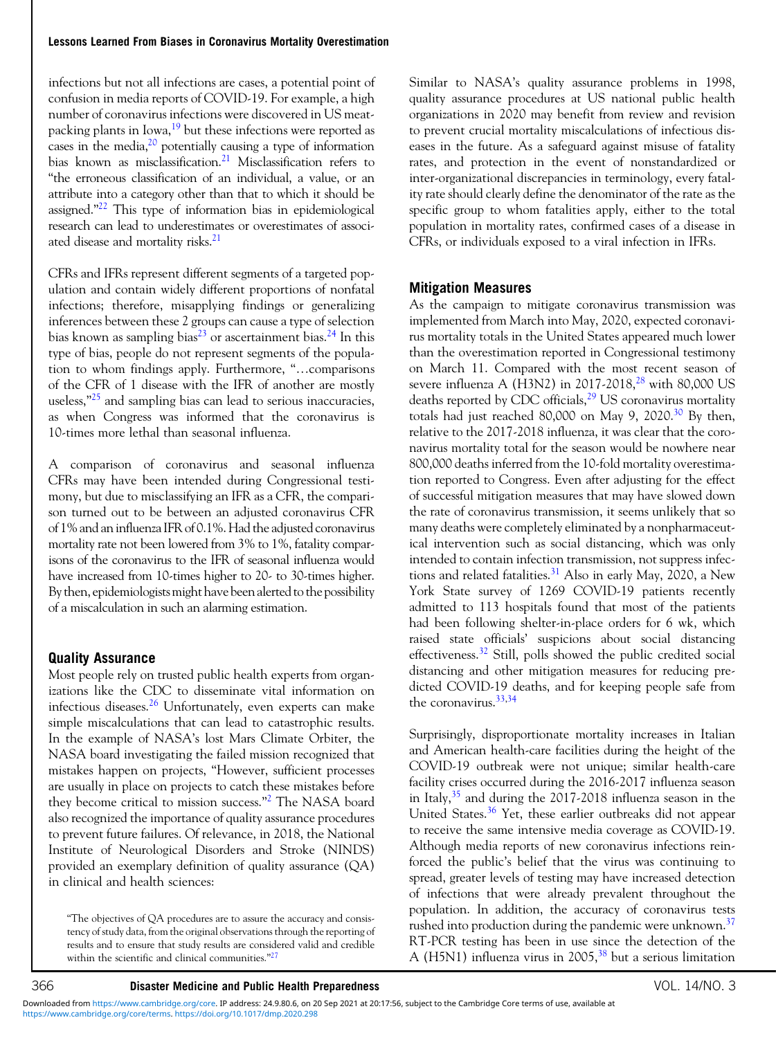infections but not all infections are cases, a potential point of confusion in media reports of COVID-19. For example, a high number of coronavirus infections were discovered in US meat-packing plants in Iowa,<sup>[19](#page-6-0)</sup> but these infections were reported as cases in the media, $^{20}$  $^{20}$  $^{20}$  potentially causing a type of information bias known as misclassification.<sup>21</sup> Misclassification refers to "the erroneous classification of an individual, a value, or an attribute into a category other than that to which it should be assigned." $22$  This type of information bias in epidemiological research can lead to underestimates or overestimates of associated disease and mortality risks.<sup>21</sup>

CFRs and IFRs represent different segments of a targeted population and contain widely different proportions of nonfatal infections; therefore, misapplying findings or generalizing inferences between these 2 groups can cause a type of selection bias known as sampling bias<sup>[23](#page-6-0)</sup> or ascertainment bias.<sup>[24](#page-6-0)</sup> In this type of bias, people do not represent segments of the population to whom findings apply. Furthermore, "…comparisons of the CFR of 1 disease with the IFR of another are mostly useless," $25$  and sampling bias can lead to serious inaccuracies, as when Congress was informed that the coronavirus is 10-times more lethal than seasonal influenza.

A comparison of coronavirus and seasonal influenza CFRs may have been intended during Congressional testimony, but due to misclassifying an IFR as a CFR, the comparison turned out to be between an adjusted coronavirus CFR of 1% and an influenza IFR of 0.1%. Had the adjusted coronavirus mortality rate not been lowered from 3% to 1%, fatality comparisons of the coronavirus to the IFR of seasonal influenza would have increased from 10-times higher to 20- to 30-times higher. By then, epidemiologists might have been alerted to the possibility of a miscalculation in such an alarming estimation.

## Quality Assurance

Most people rely on trusted public health experts from organizations like the CDC to disseminate vital information on infectious diseases. $26$  Unfortunately, even experts can make simple miscalculations that can lead to catastrophic results. In the example of NASA's lost Mars Climate Orbiter, the NASA board investigating the failed mission recognized that mistakes happen on projects, "However, sufficient processes are usually in place on projects to catch these mistakes before they become critical to mission success."<sup>[2](#page-5-0)</sup> The NASA board also recognized the importance of quality assurance procedures to prevent future failures. Of relevance, in 2018, the National Institute of Neurological Disorders and Stroke (NINDS) provided an exemplary definition of quality assurance (QA) in clinical and health sciences:

"The objectives of QA procedures are to assure the accuracy and consistency of study data, from the original observations through the reporting of results and to ensure that study results are considered valid and credible within the scientific and clinical communities. $^{n27}$  $^{n27}$  $^{n27}$ 

Similar to NASA's quality assurance problems in 1998, quality assurance procedures at US national public health organizations in 2020 may benefit from review and revision to prevent crucial mortality miscalculations of infectious diseases in the future. As a safeguard against misuse of fatality rates, and protection in the event of nonstandardized or inter-organizational discrepancies in terminology, every fatality rate should clearly define the denominator of the rate as the specific group to whom fatalities apply, either to the total population in mortality rates, confirmed cases of a disease in CFRs, or individuals exposed to a viral infection in IFRs.

## Mitigation Measures

As the campaign to mitigate coronavirus transmission was implemented from March into May, 2020, expected coronavirus mortality totals in the United States appeared much lower than the overestimation reported in Congressional testimony on March 11. Compared with the most recent season of severe influenza A (H3N2) in 2017-2018, $^{28}$  $^{28}$  $^{28}$  with 80,000 US deaths reported by CDC officials,<sup>[29](#page-6-0)</sup> US coronavirus mortality totals had just reached  $80,000$  on May 9, 2020.<sup>[30](#page-6-0)</sup> By then, relative to the 2017-2018 influenza, it was clear that the coronavirus mortality total for the season would be nowhere near 800,000 deaths inferred from the 10-fold mortality overestimation reported to Congress. Even after adjusting for the effect of successful mitigation measures that may have slowed down the rate of coronavirus transmission, it seems unlikely that so many deaths were completely eliminated by a nonpharmaceutical intervention such as social distancing, which was only intended to contain infection transmission, not suppress infections and related fatalities. $31$  Also in early May, 2020, a New York State survey of 1269 COVID-19 patients recently admitted to 113 hospitals found that most of the patients had been following shelter-in-place orders for 6 wk, which raised state officials' suspicions about social distancing effectiveness.<sup>[32](#page-6-0)</sup> Still, polls showed the public credited social distancing and other mitigation measures for reducing predicted COVID-19 deaths, and for keeping people safe from the coronavirus.[33,34](#page-6-0)

Surprisingly, disproportionate mortality increases in Italian and American health-care facilities during the height of the COVID-19 outbreak were not unique; similar health-care facility crises occurred during the 2016-2017 influenza season in Italy,  $35$  and during the 2017-2018 influenza season in the United States.<sup>[36](#page-6-0)</sup> Yet, these earlier outbreaks did not appear to receive the same intensive media coverage as COVID-19. Although media reports of new coronavirus infections reinforced the public's belief that the virus was continuing to spread, greater levels of testing may have increased detection of infections that were already prevalent throughout the population. In addition, the accuracy of coronavirus tests rushed into production during the pandemic were unknown.<sup>[37](#page-6-0)</sup> RT-PCR testing has been in use since the detection of the A (H5N1) influenza virus in 2005,<sup>[38](#page-6-0)</sup> but a serious limitation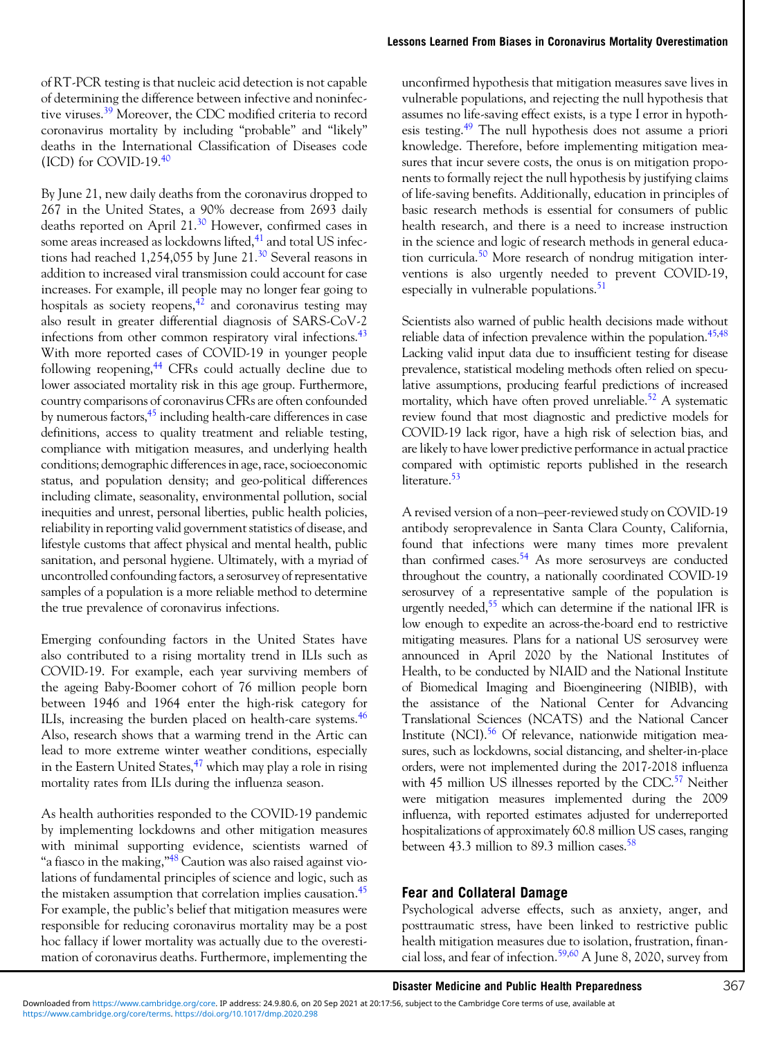of RT-PCR testing is that nucleic acid detection is not capable of determining the difference between infective and noninfec-tive viruses.<sup>[39](#page-6-0)</sup> Moreover, the CDC modified criteria to record coronavirus mortality by including "probable" and "likely" deaths in the International Classification of Diseases code  $(ICD)$  for COVID-19. $40$ 

By June 21, new daily deaths from the coronavirus dropped to 267 in the United States, a 90% decrease from 2693 daily deaths reported on April 21.<sup>[30](#page-6-0)</sup> However, confirmed cases in some areas increased as lockdowns lifted, $41$  and total US infections had reached 1,254,055 by June  $21.^{30}$  $21.^{30}$  $21.^{30}$  Several reasons in addition to increased viral transmission could account for case increases. For example, ill people may no longer fear going to hospitals as society reopens, $4^{\overline{2}}$  and coronavirus testing may also result in greater differential diagnosis of SARS-CoV-2 infections from other common respiratory viral infections.<sup>43</sup> With more reported cases of COVID-19 in younger people following reopening,<sup>[44](#page-6-0)</sup> CFRs could actually decline due to lower associated mortality risk in this age group. Furthermore, country comparisons of coronavirus CFRs are often confounded by numerous factors,<sup>45</sup> including health-care differences in case definitions, access to quality treatment and reliable testing, compliance with mitigation measures, and underlying health conditions; demographic differences in age, race, socioeconomic status, and population density; and geo-political differences including climate, seasonality, environmental pollution, social inequities and unrest, personal liberties, public health policies, reliability in reporting valid government statistics of disease, and lifestyle customs that affect physical and mental health, public sanitation, and personal hygiene. Ultimately, with a myriad of uncontrolled confounding factors, a serosurvey of representative samples of a population is a more reliable method to determine the true prevalence of coronavirus infections.

Emerging confounding factors in the United States have also contributed to a rising mortality trend in ILIs such as COVID-19. For example, each year surviving members of the ageing Baby-Boomer cohort of 76 million people born between 1946 and 1964 enter the high-risk category for ILIs, increasing the burden placed on health-care systems.<sup>[46](#page-6-0)</sup> Also, research shows that a warming trend in the Artic can lead to more extreme winter weather conditions, especially in the Eastern United States,  $47$  which may play a role in rising mortality rates from ILIs during the influenza season.

As health authorities responded to the COVID-19 pandemic by implementing lockdowns and other mitigation measures with minimal supporting evidence, scientists warned of "a fiasco in the making,"<sup>[48](#page-6-0)</sup> Caution was also raised against violations of fundamental principles of science and logic, such as the mistaken assumption that correlation implies causation.<sup>45</sup> For example, the public's belief that mitigation measures were responsible for reducing coronavirus mortality may be a post hoc fallacy if lower mortality was actually due to the overestimation of coronavirus deaths. Furthermore, implementing the

unconfirmed hypothesis that mitigation measures save lives in vulnerable populations, and rejecting the null hypothesis that assumes no life-saving effect exists, is a type I error in hypoth-esis testing.<sup>[49](#page-6-0)</sup> The null hypothesis does not assume a priori knowledge. Therefore, before implementing mitigation measures that incur severe costs, the onus is on mitigation proponents to formally reject the null hypothesis by justifying claims of life-saving benefits. Additionally, education in principles of basic research methods is essential for consumers of public health research, and there is a need to increase instruction in the science and logic of research methods in general educa-tion curricula.<sup>[50](#page-6-0)</sup> More research of nondrug mitigation interventions is also urgently needed to prevent COVID-19, especially in vulnerable populations. $51$ 

Scientists also warned of public health decisions made without reliable data of infection prevalence within the population.<sup>[45,48](#page-6-0)</sup> Lacking valid input data due to insufficient testing for disease prevalence, statistical modeling methods often relied on speculative assumptions, producing fearful predictions of increased mortality, which have often proved unreliable.<sup>52</sup> A systematic review found that most diagnostic and predictive models for COVID-19 lack rigor, have a high risk of selection bias, and are likely to have lower predictive performance in actual practice compared with optimistic reports published in the research literature.<sup>53</sup>

A revised version of a non–peer-reviewed study on COVID-19 antibody seroprevalence in Santa Clara County, California, found that infections were many times more prevalent than confirmed cases.<sup>[54](#page-6-0)</sup> As more serosurveys are conducted throughout the country, a nationally coordinated COVID-19 serosurvey of a representative sample of the population is urgently needed,<sup>55</sup> which can determine if the national IFR is low enough to expedite an across-the-board end to restrictive mitigating measures. Plans for a national US serosurvey were announced in April 2020 by the National Institutes of Health, to be conducted by NIAID and the National Institute of Biomedical Imaging and Bioengineering (NIBIB), with the assistance of the National Center for Advancing Translational Sciences (NCATS) and the National Cancer Institute (NCI).<sup>56</sup> Of relevance, nationwide mitigation measures, such as lockdowns, social distancing, and shelter-in-place orders, were not implemented during the 2017-2018 influenza with 45 million US illnesses reported by the CDC.<sup>57</sup> Neither were mitigation measures implemented during the 2009 influenza, with reported estimates adjusted for underreported hospitalizations of approximately 60.8 million US cases, ranging between 43.3 million to 89.3 million cases.<sup>[58](#page-7-0)</sup>

## Fear and Collateral Damage

Psychological adverse effects, such as anxiety, anger, and posttraumatic stress, have been linked to restrictive public health mitigation measures due to isolation, frustration, financial loss, and fear of infection.[59,60](#page-7-0) A June 8, 2020, survey from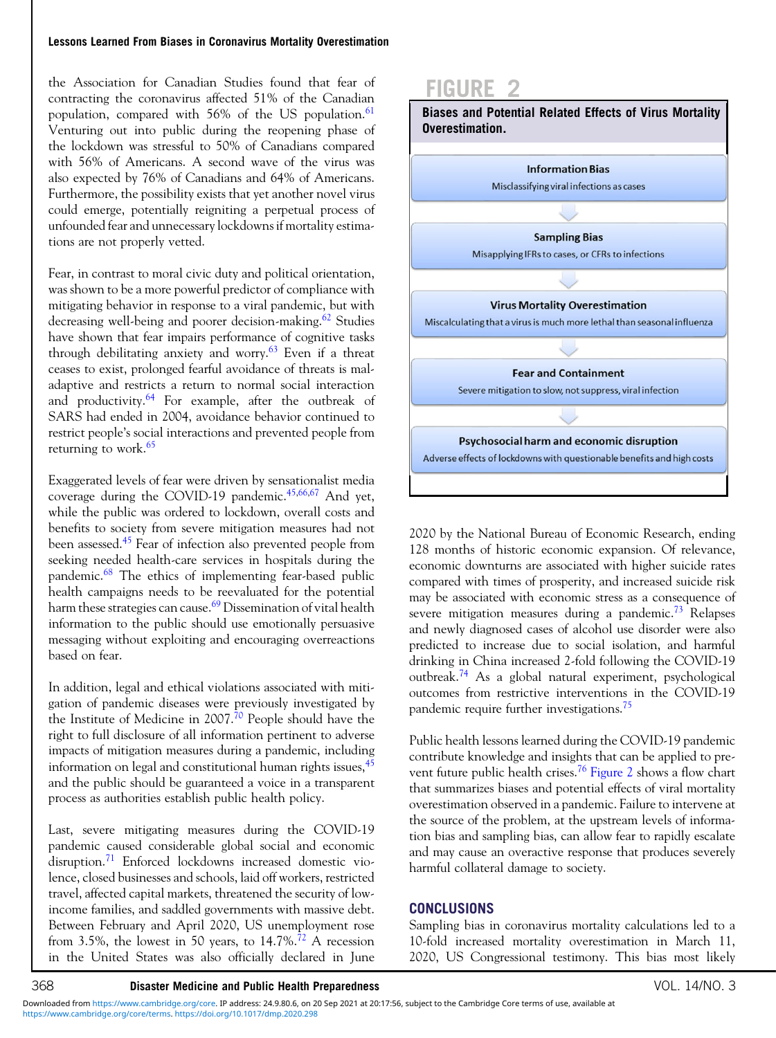#### Lessons Learned From Biases in Coronavirus Mortality Overestimation

the Association for Canadian Studies found that fear of contracting the coronavirus affected 51% of the Canadian population, compared with  $56\%$  of the US population.  $61$ Venturing out into public during the reopening phase of the lockdown was stressful to 50% of Canadians compared with 56% of Americans. A second wave of the virus was also expected by 76% of Canadians and 64% of Americans. Furthermore, the possibility exists that yet another novel virus could emerge, potentially reigniting a perpetual process of unfounded fear and unnecessary lockdowns if mortality estimations are not properly vetted.

Fear, in contrast to moral civic duty and political orientation, was shown to be a more powerful predictor of compliance with mitigating behavior in response to a viral pandemic, but with decreasing well-being and poorer decision-making.<sup>[62](#page-7-0)</sup> Studies have shown that fear impairs performance of cognitive tasks through debilitating anxiety and worry.<sup>[63](#page-7-0)</sup> Even if a threat ceases to exist, prolonged fearful avoidance of threats is maladaptive and restricts a return to normal social interaction and productivity.[64](#page-7-0) For example, after the outbreak of SARS had ended in 2004, avoidance behavior continued to restrict people's social interactions and prevented people from returning to work.<sup>[65](#page-7-0)</sup>

Exaggerated levels of fear were driven by sensationalist media coverage during the COVID-19 pandemic.<sup>[45](#page-6-0),[66,67](#page-7-0)</sup> And yet, while the public was ordered to lockdown, overall costs and benefits to society from severe mitigation measures had not been assessed.<sup>[45](#page-6-0)</sup> Fear of infection also prevented people from seeking needed health-care services in hospitals during the pandemic.<sup>[68](#page-7-0)</sup> The ethics of implementing fear-based public health campaigns needs to be reevaluated for the potential harm these strategies can cause.<sup>[69](#page-7-0)</sup> Dissemination of vital health information to the public should use emotionally persuasive messaging without exploiting and encouraging overreactions based on fear.

In addition, legal and ethical violations associated with mitigation of pandemic diseases were previously investigated by the Institute of Medicine in 2007.<sup>[70](#page-7-0)</sup> People should have the right to full disclosure of all information pertinent to adverse impacts of mitigation measures during a pandemic, including information on legal and constitutional human rights issues, <sup>[45](#page-6-0)</sup> and the public should be guaranteed a voice in a transparent process as authorities establish public health policy.

Last, severe mitigating measures during the COVID-19 pandemic caused considerable global social and economic disruption.<sup>[71](#page-7-0)</sup> Enforced lockdowns increased domestic violence, closed businesses and schools, laid off workers, restricted travel, affected capital markets, threatened the security of lowincome families, and saddled governments with massive debt. Between February and April 2020, US unemployment rose from 3.5%, the lowest in 50 years, to  $14.7\%$ .<sup>72</sup> A recession in the United States was also officially declared in June



2020 by the National Bureau of Economic Research, ending 128 months of historic economic expansion. Of relevance, economic downturns are associated with higher suicide rates compared with times of prosperity, and increased suicide risk may be associated with economic stress as a consequence of severe mitigation measures during a pandemic.<sup>[73](#page-7-0)</sup> Relapses and newly diagnosed cases of alcohol use disorder were also predicted to increase due to social isolation, and harmful drinking in China increased 2-fold following the COVID-19 outbreak.[74](#page-7-0) As a global natural experiment, psychological outcomes from restrictive interventions in the COVID-19 pandemic require further investigations.[75](#page-7-0)

Public health lessons learned during the COVID-19 pandemic contribute knowledge and insights that can be applied to prevent future public health crises.[76](#page-7-0) Figure 2 shows a flow chart that summarizes biases and potential effects of viral mortality overestimation observed in a pandemic. Failure to intervene at the source of the problem, at the upstream levels of information bias and sampling bias, can allow fear to rapidly escalate and may cause an overactive response that produces severely harmful collateral damage to society.

## **CONCLUSIONS**

Sampling bias in coronavirus mortality calculations led to a 10-fold increased mortality overestimation in March 11, 2020, US Congressional testimony. This bias most likely

[https://www.cambridge.org/core/terms.](https://www.cambridge.org/core/terms) <https://doi.org/10.1017/dmp.2020.298> Downloaded from [https://www.cambridge.org/core.](https://www.cambridge.org/core) IP address: 24.9.80.6, on 20 Sep 2021 at 20:17:56, subject to the Cambridge Core terms of use, available at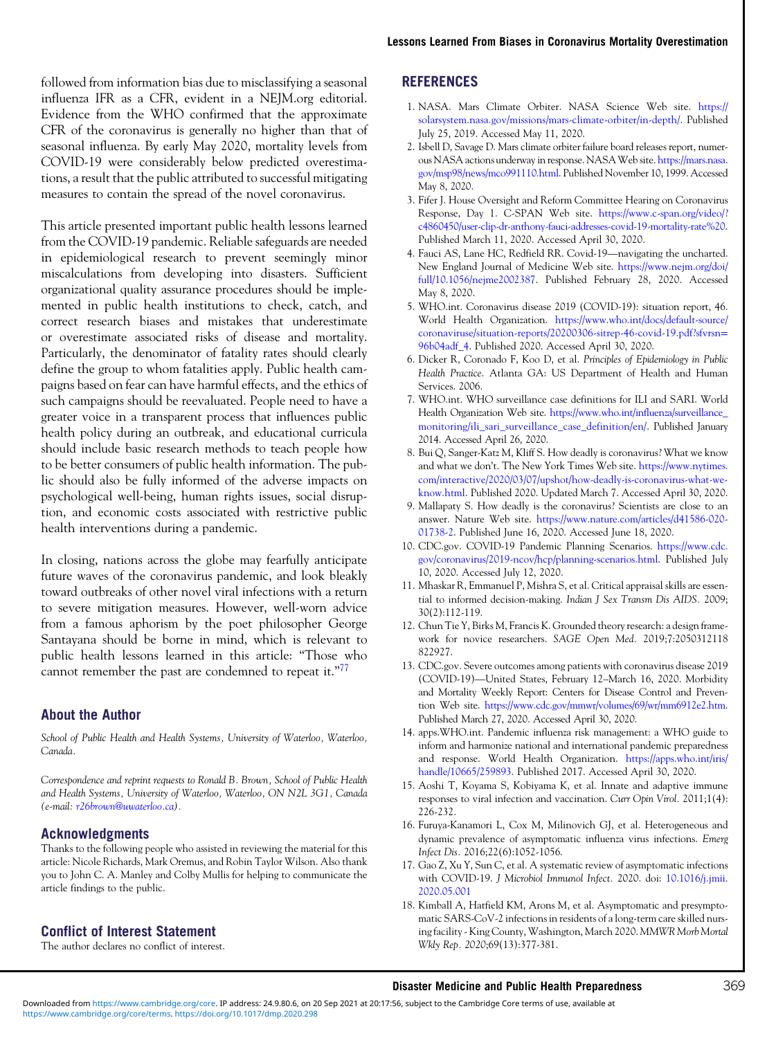<span id="page-5-0"></span>followed from information bias due to misclassifying a seasonal influenza IFR as a CFR, evident in a NEJM.org editorial. Evidence from the WHO confirmed that the approximate CFR of the coronavirus is generally no higher than that of seasonal influenza. By early May 2020, mortality levels from COVID-19 were considerably below predicted overestimations, a result that the public attributed to successful mitigating measures to contain the spread of the novel coronavirus.

This article presented important public health lessons learned from the COVID-19 pandemic. Reliable safeguards are needed in epidemiological research to prevent seemingly minor miscalculations from developing into disasters. Sufficient organizational quality assurance procedures should be implemented in public health institutions to check, catch, and correct research biases and mistakes that underestimate or overestimate associated risks of disease and mortality. Particularly, the denominator of fatality rates should clearly define the group to whom fatalities apply. Public health campaigns based on fear can have harmful effects, and the ethics of such campaigns should be reevaluated. People need to have a greater voice in a transparent process that influences public health policy during an outbreak, and educational curricula should include basic research methods to teach people how to be better consumers of public health information. The public should also be fully informed of the adverse impacts on psychological well-being, human rights issues, social disruption, and economic costs associated with restrictive public health interventions during a pandemic.

In closing, nations across the globe may fearfully anticipate future waves of the coronavirus pandemic, and look bleakly toward outbreaks of other novel viral infections with a return to severe mitigation measures. However, well-worn advice from a famous aphorism by the poet philosopher George Santayana should be borne in mind, which is relevant to public health lessons learned in this article: "Those who cannot remember the past are condemned to repeat it."<sup>[77](#page-7-0)</sup>

### About the Author

School of Public Health and Health Systems, University of Waterloo, Waterloo, Canada.

Correspondence and reprint requests to Ronald B. Brown, School of Public Health and Health Systems, University of Waterloo, Waterloo, ON N2L 3G1, Canada (e-mail: [r26brown@uwaterloo.ca](mailto:r26brown@uwaterloo.ca)).

### Acknowledgments

Thanks to the following people who assisted in reviewing the material for this article: Nicole Richards, Mark Oremus, and Robin Taylor Wilson. Also thank you to John C. A. Manley and Colby Mullis for helping to communicate the article findings to the public.

#### Conflict of Interest Statement

The author declares no conflict of interest.

## **REFERENCES**

- 1. NASA. Mars Climate Orbiter. NASA Science Web site. [https://](https://solarsystem.nasa.gov/missions/mars-climate-orbiter/in-depth/) [solarsystem.nasa.gov/missions/mars-climate-orbiter/in-depth/.](https://solarsystem.nasa.gov/missions/mars-climate-orbiter/in-depth/) Published July 25, 2019. Accessed May 11, 2020.
- 2. Isbell D, Savage D. Mars climate orbiter failure board releases report, numerous NASA actions underway in response. NASAWeb site. [https://mars.nasa.](https://mars.nasa.gov/msp98/news/mco991110.html) [gov/msp98/news/mco991110.html](https://mars.nasa.gov/msp98/news/mco991110.html). Published November 10, 1999. Accessed May 8, 2020.
- 3. Fifer J. House Oversight and Reform Committee Hearing on Coronavirus Response, Day 1. C-SPAN Web site. [https://www.c-span.org/video/?](https://www.c-span.org/video/?c4860450/user-clip-dr-anthony-fauci-addresses-covid-19-mortality-rate%20)<br>
c4860450/user-clip-dr-anthony-fauci-addresses-covid-19-mortality-rate%20.<br>
Published March 11, 2020. Accessed April 30, 2020.<br>
4. Fauci AS, Lane HC, Redfiel [c4860450/user-clip-dr-anthony-fauci-addresses-covid-19-mortality-rate%20.](https://www.c-span.org/video/?c4860450/user-clip-dr-anthony-fauci-addresses-covid-19-mortality-rate%20) Published March 11, 2020. Accessed April 30, 2020.
- New England Journal of Medicine Web site. [https://www.nejm.org/doi/](https://www.nejm.org/doi/full/10.1056/nejme2002387) [full/10.1056/nejme2002387.](https://www.nejm.org/doi/full/10.1056/nejme2002387) Published February 28, 2020. Accessed May 8, 2020.
- 5. WHO.int. Coronavirus disease 2019 (COVID-19): situation report, 46. World Health Organization. [https://www.who.int/docs/default-source/](https://www.who.int/docs/default-source/coronaviruse/situation-reports/20200306-sitrep-46-covid-19.pdf?sfvrsn%3d96b04adf_4) [coronaviruse/situation-reports/20200306-sitrep-46-covid-19.pdf?sfvrsn](https://www.who.int/docs/default-source/coronaviruse/situation-reports/20200306-sitrep-46-covid-19.pdf?sfvrsn%3d96b04adf_4)= [96b04adf\\_4.](https://www.who.int/docs/default-source/coronaviruse/situation-reports/20200306-sitrep-46-covid-19.pdf?sfvrsn%3d96b04adf_4) Published 2020. Accessed April 30, 2020.
- 6. Dicker R, Coronado F, Koo D, et al. Principles of Epidemiology in Public Health Practice. Atlanta GA: US Department of Health and Human Services. 2006.
- 7. WHO.int. WHO surveillance case definitions for ILI and SARI. World Health Organization Web site. [https://www.who.int/influenza/surveillance\\_](https://www.who.int/influenza/surveillance_monitoring/ili_sari_surveillance_case_definition/en/) [monitoring/ili\\_sari\\_surveillance\\_case\\_definition/en/.](https://www.who.int/influenza/surveillance_monitoring/ili_sari_surveillance_case_definition/en/) Published January 2014. Accessed April 26, 2020.
- 8. Bui Q, Sanger-Katz M, Kliff S. How deadly is coronavirus? What we know and what we don't. The New York Times Web site. [https://www.nytimes.](https://www.nytimes.com/interactive/2020/03/07/upshot/how-deadly-is-coronavirus-what-we-know.html) [com/interactive/2020/03/07/upshot/how-deadly-is-coronavirus-what-we](https://www.nytimes.com/interactive/2020/03/07/upshot/how-deadly-is-coronavirus-what-we-know.html)[know.html.](https://www.nytimes.com/interactive/2020/03/07/upshot/how-deadly-is-coronavirus-what-we-know.html) Published 2020. Updated March 7. Accessed April 30, 2020.
- 9. Mallapaty S. How deadly is the coronavirus? Scientists are close to an answer. Nature Web site. [https://www.nature.com/articles/d41586-020-](https://www.nature.com/articles/d41586-020-01738-2) [01738-2.](https://www.nature.com/articles/d41586-020-01738-2) Published June 16, 2020. Accessed June 18, 2020.
- 10. CDC.gov. COVID-19 Pandemic Planning Scenarios. [https://www.cdc.](https://www.cdc.gov/coronavirus/2019-ncov/hcp/planning-scenarios.html) [gov/coronavirus/2019-ncov/hcp/planning-scenarios.html](https://www.cdc.gov/coronavirus/2019-ncov/hcp/planning-scenarios.html). Published July 10, 2020. Accessed July 12, 2020.
- 11. Mhaskar R, Emmanuel P, Mishra S, et al. Critical appraisal skills are essential to informed decision-making. Indian J Sex Transm Dis AIDS. 2009; 30(2):112-119.
- 12. Chun Tie Y, Birks M, Francis K. Grounded theory research: a design framework for novice researchers. SAGE Open Med. 2019;7:2050312118<br>822927.<br>CDC.gov. Severe outcomes among patients with coronavirus disease 2019<br>(COVID-19)—United States, February 12–March 16, 2020. Morbidity 822927.
- 13. CDC.gov. Severe outcomes among patients with coronavirus disease 2019 and Mortality Weekly Report: Centers for Disease Control and Prevention Web site. [https://www.cdc.gov/mmwr/volumes/69/wr/mm6912e2.htm.](https://www.cdc.gov/mmwr/volumes/69/wr/mm6912e2.htm) Published March 27, 2020. Accessed April 30, 2020.
- 14. apps.WHO.int. Pandemic influenza risk management: a WHO guide to inform and harmonize national and international pandemic preparedness and response. World Health Organization. [https://apps.who.int/iris/](https://apps.who.int/iris/handle/10665/259893) [handle/10665/259893.](https://apps.who.int/iris/handle/10665/259893) Published 2017. Accessed April 30, 2020.
- 15. Aoshi T, Koyama S, Kobiyama K, et al. Innate and adaptive immune responses to viral infection and vaccination. Curr Opin Virol. 2011;1(4): 226-232.
- 16. Furuya-Kanamori L, Cox M, Milinovich GJ, et al. Heterogeneous and dynamic prevalence of asymptomatic influenza virus infections. Emerg Infect Dis. 2016;22(6):1052-1056.
- 17. Gao Z, Xu Y, Sun C, et al. A systematic review of asymptomatic infections with COVID-19. J Microbiol Immunol Infect. 2020. doi: [10.1016/j.jmii.](https://doi.org/10.1016/j.jmii.2020.05.001) [2020.05.001](https://doi.org/10.1016/j.jmii.2020.05.001)
- 18. Kimball A, Hatfield KM, Arons M, et al. Asymptomatic and presymptomatic SARS-CoV-2 infections in residents of a long-term care skilled nursing facility - King County, Washington, March 2020. MMWR Morb Mortal Wkly Rep. 2020;69(13):377-381.

#### Disaster Medicine and Public Health Preparedness 369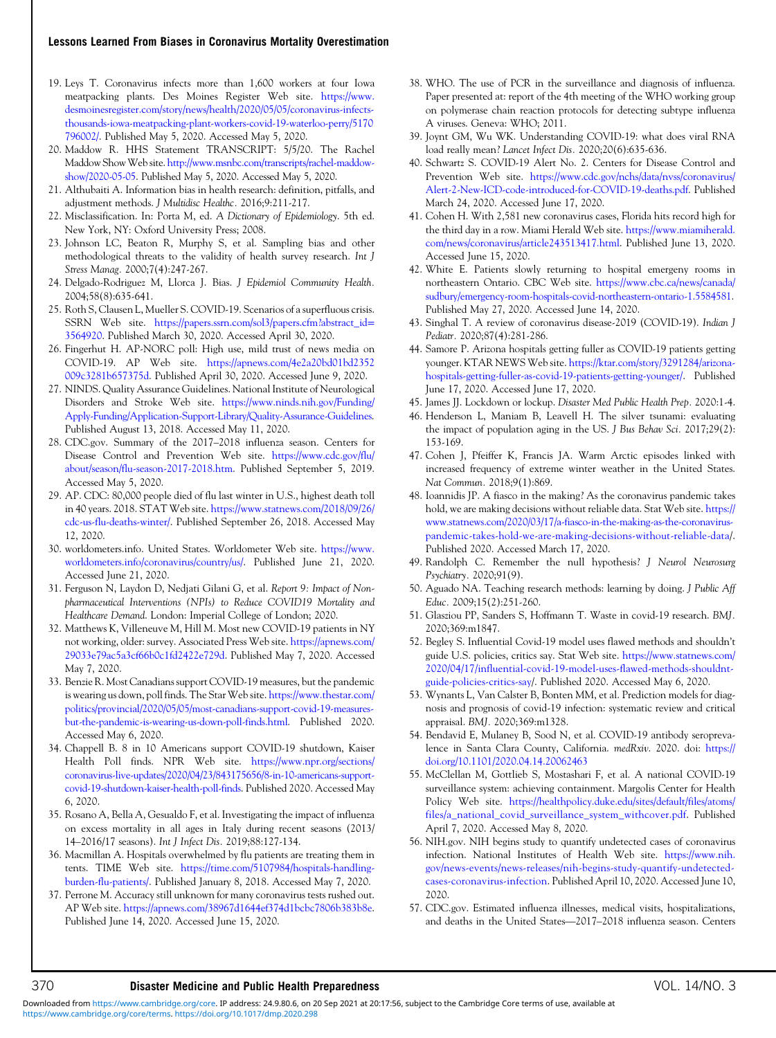#### <span id="page-6-0"></span>Lessons Learned From Biases in Coronavirus Mortality Overestimation

- 19. Leys T. Coronavirus infects more than 1,600 workers at four Iowa meatpacking plants. Des Moines Register Web site. [https://www.](https://www.desmoinesregister.com/story/news/health/2020/05/05/coronavirus-infects-thousands-iowa-meatpacking-plant-workers-covid-19-waterloo-perry/5170796002/) [desmoinesregister.com/story/news/health/2020/05/05/coronavirus-infects](https://www.desmoinesregister.com/story/news/health/2020/05/05/coronavirus-infects-thousands-iowa-meatpacking-plant-workers-covid-19-waterloo-perry/5170796002/)[thousands-iowa-meatpacking-plant-workers-covid-19-waterloo-perry/5170](https://www.desmoinesregister.com/story/news/health/2020/05/05/coronavirus-infects-thousands-iowa-meatpacking-plant-workers-covid-19-waterloo-perry/5170796002/) [796002/.](https://www.desmoinesregister.com/story/news/health/2020/05/05/coronavirus-infects-thousands-iowa-meatpacking-plant-workers-covid-19-waterloo-perry/5170796002/) Published May 5, 2020. Accessed May 5, 2020.
- 20. Maddow R. HHS Statement TRANSCRIPT: 5/5/20. The Rachel Maddow ShowWeb site. [http://www.msnbc.com/transcripts/rachel-maddow](http://www.msnbc.com/transcripts/rachel-maddow-show/2020-05-05)[show/2020-05-05](http://www.msnbc.com/transcripts/rachel-maddow-show/2020-05-05). Published May 5, 2020. Accessed May 5, 2020.
- 21. Althubaiti A. Information bias in health research: definition, pitfalls, and adjustment methods. J Multidisc Healthc. 2016;9:211-217.
- 22. Misclassification. In: Porta M, ed. A Dictionary of Epidemiology. 5th ed. New York, NY: Oxford University Press; 2008.
- 23. Johnson LC, Beaton R, Murphy S, et al. Sampling bias and other methodological threats to the validity of health survey research. Int J Stress Manag. 2000;7(4):247-267.
- 24. Delgado-Rodriguez M, Llorca J. Bias. J Epidemiol Community Health. 2004;58(8):635-641.
- 25. Roth S, Clausen L, Mueller S. COVID-19. Scenarios of a superfluous crisis. SSRN Web site. [https://papers.ssrn.com/sol3/papers.cfm?abstract\\_id](https://papers.ssrn.com/sol3/papers.cfm?abstract_id%3d3564920)= [3564920.](https://papers.ssrn.com/sol3/papers.cfm?abstract_id%3d3564920) Published March 30, 2020. Accessed April 30, 2020.
- 26. Fingerhut H. AP-NORC poll: High use, mild trust of news media on COVID-19. AP Web site. [https://apnews.com/4e2a20bd01bd2352](https://apnews.com/4e2a20bd01bd2352009c3281b657375d) [009c3281b657375d](https://apnews.com/4e2a20bd01bd2352009c3281b657375d). Published April 30, 2020. Accessed June 9, 2020.
- 27. NINDS. Quality Assurance Guidelines. National Institute of Neurological Disorders and Stroke Web site. [https://www.ninds.nih.gov/Funding/](https://www.ninds.nih.gov/Funding/Apply-Funding/Application-Support-Library/Quality-Assurance-Guidelines) [Apply-Funding/Application-Support-Library/Quality-Assurance-Guidelines](https://www.ninds.nih.gov/Funding/Apply-Funding/Application-Support-Library/Quality-Assurance-Guidelines). Published August 13, 2018. Accessed May 11, 2020.
- 28. CDC.gov. Summary of the 2017–2018 influenza season. Centers for Disease Control and Prevention Web site. [https://www.cdc.gov/flu/](https://www.cdc.gov/flu/about/season/flu-season-2017-2018.htm) [about/season/flu-season-2017-2018.htm](https://www.cdc.gov/flu/about/season/flu-season-2017-2018.htm). Published September 5, 2019. Accessed May 5, 2020.
- 29. AP. CDC: 80,000 people died of flu last winter in U.S., highest death toll in 40 years. 2018. STAT Web site. [https://www.statnews.com/2018/09/26/](https://www.statnews.com/2018/09/26/cdc-us-flu-deaths-winter/) [cdc-us-flu-deaths-winter/](https://www.statnews.com/2018/09/26/cdc-us-flu-deaths-winter/). Published September 26, 2018. Accessed May 12, 2020.
- 30. worldometers.info. United States. Worldometer Web site. [https://www.](https://www.worldometers.info/coronavirus/country/us/) [worldometers.info/coronavirus/country/us/](https://www.worldometers.info/coronavirus/country/us/). Published June 21, 2020. Accessed June 21, 2020.
- 31. Ferguson N, Laydon D, Nedjati Gilani G, et al. Report 9: Impact of Nonpharmaceutical Interventions (NPIs) to Reduce COVID19 Mortality and Healthcare Demand. London: Imperial College of London; 2020.
- 32. Matthews K, Villeneuve M, Hill M. Most new COVID-19 patients in NY not working, older: survey. Associated Press Web site. [https://apnews.com/](https://apnews.com/29033e79ac5a3cf66b0c1fd2422e729d) [29033e79ac5a3cf66b0c1fd2422e729d](https://apnews.com/29033e79ac5a3cf66b0c1fd2422e729d). Published May 7, 2020. Accessed May 7, 2020.
- 33. Benzie R. Most Canadians support COVID-19 measures, but the pandemic is wearing us down, poll finds. The Star Web site. [https://www.thestar.com/](https://www.thestar.com/politics/provincial/2020/05/05/most-canadians-support-covid-19-measures-but-the-pandemic-is-wearing-us-down-poll-finds.html) [politics/provincial/2020/05/05/most-canadians-support-covid-19-measures](https://www.thestar.com/politics/provincial/2020/05/05/most-canadians-support-covid-19-measures-but-the-pandemic-is-wearing-us-down-poll-finds.html)[but-the-pandemic-is-wearing-us-down-poll-finds.html.](https://www.thestar.com/politics/provincial/2020/05/05/most-canadians-support-covid-19-measures-but-the-pandemic-is-wearing-us-down-poll-finds.html) Published 2020. Accessed May 6, 2020.
- 34. Chappell B. 8 in 10 Americans support COVID-19 shutdown, Kaiser Health Poll finds. NPR Web site. [https://www.npr.org/sections/](https://www.npr.org/sections/coronavirus-live-updates/2020/04/23/843175656/8-in-10-americans-support-covid-19-shutdown-kaiser-health-poll-finds) [coronavirus-live-updates/2020/04/23/843175656/8-in-10-americans-support](https://www.npr.org/sections/coronavirus-live-updates/2020/04/23/843175656/8-in-10-americans-support-covid-19-shutdown-kaiser-health-poll-finds)[covid-19-shutdown-kaiser-health-poll-finds.](https://www.npr.org/sections/coronavirus-live-updates/2020/04/23/843175656/8-in-10-americans-support-covid-19-shutdown-kaiser-health-poll-finds) Published 2020. Accessed May 6, 2020.
- 35. Rosano A, Bella A, Gesualdo F, et al. Investigating the impact of influenza on excess mortality in all ages in Italy during recent seasons (2013/ 14–2016/17 seasons). Int J Infect Dis. 2019;88:127-134.
- 36. Macmillan A. Hospitals overwhelmed by flu patients are treating them in tents. TIME Web site. [https://time.com/5107984/hospitals-handling](https://time.com/5107984/hospitals-handling-burden-flu-patients/)[burden-flu-patients/](https://time.com/5107984/hospitals-handling-burden-flu-patients/). Published January 8, 2018. Accessed May 7, 2020.
- 37. Perrone M. Accuracy still unknown for many coronavirus tests rushed out. AP Web site. [https://apnews.com/38967d1644ef374d1bcbc7806b383b8e.](https://apnews.com/38967d1644ef374d1bcbc7806b383b8e) Published June 14, 2020. Accessed June 15, 2020.
- 38. WHO. The use of PCR in the surveillance and diagnosis of influenza. Paper presented at: report of the 4th meeting of the WHO working group on polymerase chain reaction protocols for detecting subtype influenza A viruses. Geneva: WHO; 2011.
- 39. Joynt GM, Wu WK. Understanding COVID-19: what does viral RNA load really mean? Lancet Infect Dis. 2020;20(6):635-636.
- 40. Schwartz S. COVID-19 Alert No. 2. Centers for Disease Control and Prevention Web site. [https://www.cdc.gov/nchs/data/nvss/coronavirus/](https://www.cdc.gov/nchs/data/nvss/coronavirus/Alert-2-New-ICD-code-introduced-for-COVID-19-deaths.pdf) [Alert-2-New-ICD-code-introduced-for-COVID-19-deaths.pdf.](https://www.cdc.gov/nchs/data/nvss/coronavirus/Alert-2-New-ICD-code-introduced-for-COVID-19-deaths.pdf) Published March 24, 2020. Accessed June 17, 2020.
- 41. Cohen H. With 2,581 new coronavirus cases, Florida hits record high for the third day in a row. Miami Herald Web site. [https://www.miamiherald.](https://www.miamiherald.com/news/coronavirus/article243513417.html) [com/news/coronavirus/article243513417.html](https://www.miamiherald.com/news/coronavirus/article243513417.html). Published June 13, 2020. Accessed June 15, 2020.
- 42. White E. Patients slowly returning to hospital emergeny rooms in northeastern Ontario. CBC Web site. [https://www.cbc.ca/news/canada/](https://www.cbc.ca/news/canada/sudbury/emergency-room-hospitals-covid-northeastern-ontario-1.5584581) [sudbury/emergency-room-hospitals-covid-northeastern-ontario-1.5584581.](https://www.cbc.ca/news/canada/sudbury/emergency-room-hospitals-covid-northeastern-ontario-1.5584581) Published May 27, 2020. Accessed June 14, 2020.
- 43. Singhal T. A review of coronavirus disease-2019 (COVID-19). Indian J Pediatr. 2020;87(4):281-286.
- 44. Samore P. Arizona hospitals getting fuller as COVID-19 patients getting younger. KTAR NEWS Web site. [https://ktar.com/story/3291284/arizona](https://ktar.com/story/3291284/arizona-hospitals-getting-fuller-as-covid-19-patients-getting-younger/)[hospitals-getting-fuller-as-covid-19-patients-getting-younger/.](https://ktar.com/story/3291284/arizona-hospitals-getting-fuller-as-covid-19-patients-getting-younger/) Published June 17, 2020. Accessed June 17, 2020.
- 45. James JJ. Lockdown or lockup. Disaster Med Public Health Prep. 2020:1-4.
- 46. Henderson L, Maniam B, Leavell H. The silver tsunami: evaluating the impact of population aging in the US. J Bus Behav Sci. 2017;29(2): 153-169.
- 47. Cohen J, Pfeiffer K, Francis JA. Warm Arctic episodes linked with increased frequency of extreme winter weather in the United States. Nat Commun. 2018;9(1):869.
- 48. Ioannidis JP. A fiasco in the making? As the coronavirus pandemic takes hold, we are making decisions without reliable data. Stat Web site. [https://](https://www.statnews.com/2020/03/17/a-fiasco-in-the-making-as-the-coronavirus-pandemic-takes-hold-we-are-making-decisions-without-reliable-data) [www.statnews.com/2020/03/17/a-fiasco-in-the-making-as-the-coronavirus](https://www.statnews.com/2020/03/17/a-fiasco-in-the-making-as-the-coronavirus-pandemic-takes-hold-we-are-making-decisions-without-reliable-data)[pandemic-takes-hold-we-are-making-decisions-without-reliable-data](https://www.statnews.com/2020/03/17/a-fiasco-in-the-making-as-the-coronavirus-pandemic-takes-hold-we-are-making-decisions-without-reliable-data)/. Published 2020. Accessed March 17, 2020.
- 49. Randolph C. Remember the null hypothesis? J Neurol Neurosurg Psychiatry. 2020;91(9).
- 50. Aguado NA. Teaching research methods: learning by doing. J Public Aff Educ. 2009;15(2):251-260.
- 51. Glasziou PP, Sanders S, Hoffmann T. Waste in covid-19 research. BMJ. 2020;369:m1847.
- 52. Begley S. Influential Covid-19 model uses flawed methods and shouldn't guide U.S. policies, critics say. Stat Web site. [https://www.statnews.com/](https://www.statnews.com/2020/04/17/influential-covid-19-model-uses-flawed-methods-shouldnt-guide-policies-critics-say) [2020/04/17/influential-covid-19-model-uses-flawed-methods-shouldnt](https://www.statnews.com/2020/04/17/influential-covid-19-model-uses-flawed-methods-shouldnt-guide-policies-critics-say)[guide-policies-critics-say/](https://www.statnews.com/2020/04/17/influential-covid-19-model-uses-flawed-methods-shouldnt-guide-policies-critics-say). Published 2020. Accessed May 6, 2020.
- 53. Wynants L, Van Calster B, Bonten MM, et al. Prediction models for diagnosis and prognosis of covid-19 infection: systematic review and critical appraisal. BMJ. 2020;369:m1328.
- 54. Bendavid E, Mulaney B, Sood N, et al. COVID-19 antibody seroprevalence in Santa Clara County, California. medRxiv. 2020. doi: [https://](https://doi.org/10.1101/2020.04.14.20062463) [doi.org/10.1101/2020.04.14.20062463](https://doi.org/10.1101/2020.04.14.20062463)
- 55. McClellan M, Gottlieb S, Mostashari F, et al. A national COVID-19 surveillance system: achieving containment. Margolis Center for Health Policy Web site. [https://healthpolicy.duke.edu/sites/default/files/atoms/](https://healthpolicy.duke.edu/sites/default/files/atoms/files/a_national_covid_surveillance_system_withcover.pdf) [files/a\\_national\\_covid\\_surveillance\\_system\\_withcover.pdf](https://healthpolicy.duke.edu/sites/default/files/atoms/files/a_national_covid_surveillance_system_withcover.pdf). Published April 7, 2020. Accessed May 8, 2020.
- 56. NIH.gov. NIH begins study to quantify undetected cases of coronavirus infection. National Institutes of Health Web site. [https://www.nih.](https://www.nih.gov/news-events/news-releases/nih-begins-study-quantify-undetected-cases-coronavirus-infection) [gov/news-events/news-releases/nih-begins-study-quantify-undetected](https://www.nih.gov/news-events/news-releases/nih-begins-study-quantify-undetected-cases-coronavirus-infection)[cases-coronavirus-infection.](https://www.nih.gov/news-events/news-releases/nih-begins-study-quantify-undetected-cases-coronavirus-infection) Published April 10, 2020. Accessed June 10,<br>2020.<br>CDC.gov. Estimated influenza illnesses, medical visits, hospitalizations,<br>and deaths in the United States—2017–2018 influenza season. Centers 2020.
- 57. CDC.gov. Estimated influenza illnesses, medical visits, hospitalizations,

### 370 Disaster Medicine and Public Health Preparedness VOL. 14/NO. 3